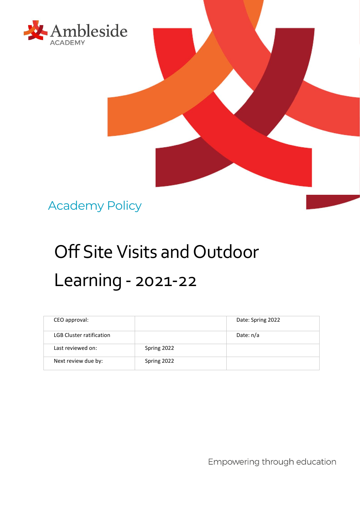

Academy Policy

# Off Site Visits and Outdoor Learning - 2021-22

| CEO approval:                   |             | Date: Spring 2022 |
|---------------------------------|-------------|-------------------|
| <b>LGB Cluster ratification</b> |             | Date: n/a         |
| Last reviewed on:               | Spring 2022 |                   |
| Next review due by:             | Spring 2022 |                   |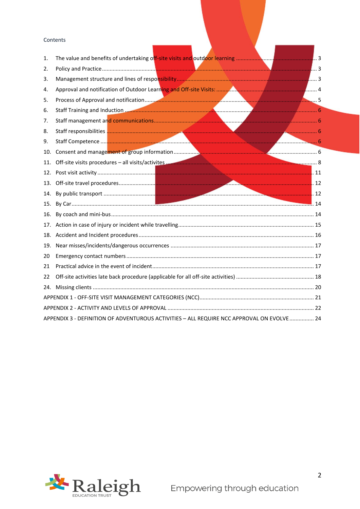#### Contents

| 1.  |                                                                                           |  |
|-----|-------------------------------------------------------------------------------------------|--|
| 2.  |                                                                                           |  |
| 3.  |                                                                                           |  |
| 4.  |                                                                                           |  |
| 5.  |                                                                                           |  |
| 6.  |                                                                                           |  |
| 7.  |                                                                                           |  |
| 8.  |                                                                                           |  |
| 9.  |                                                                                           |  |
| 10. |                                                                                           |  |
| 11. |                                                                                           |  |
| 12. |                                                                                           |  |
|     |                                                                                           |  |
|     |                                                                                           |  |
|     |                                                                                           |  |
|     |                                                                                           |  |
|     |                                                                                           |  |
|     |                                                                                           |  |
|     |                                                                                           |  |
| 20  |                                                                                           |  |
| 21  |                                                                                           |  |
| 22  |                                                                                           |  |
|     |                                                                                           |  |
|     |                                                                                           |  |
|     |                                                                                           |  |
|     | APPENDIX 3 - DEFINITION OF ADVENTUROUS ACTIVITIES - ALL REQUIRE NCC APPROVAL ON EVOLVE 24 |  |
|     |                                                                                           |  |

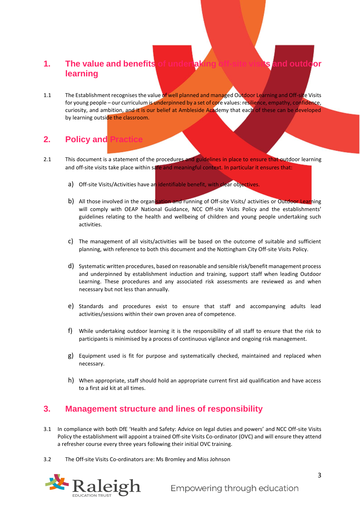# <span id="page-2-0"></span>**1. The value and benefits of undertaking off-site visits and outdoor learning**

1.1 The Establishment recognises the value of well planned and managed Outdoor Learning and Off-site Visits for young people – our curriculum is underpinned by a set of core values: resilience, empathy, confidence, curiosity, and ambition, and it is our belief at Ambleside Academy that each of these can be developed by learning outside the classroom.

# <span id="page-2-1"></span>**2.** Policy and

- 2.1 This document is a statement of the procedures and guidelines in place to ensure that outdoor learning and off-site visits take place within safe and meaningful context. In particular it ensures that:
	- a) Off-site Visits/Activities have an identifiable benefit, with clear objectives.
	- b) All those involved in the organisation and running of Off-site Visits/ activities or Outdoor Learning will comply with OEAP National Guidance, NCC Off-site Visits Policy and the establishments' guidelines relating to the health and wellbeing of children and young people undertaking such activities.
	- c) The management of all visits/activities will be based on the outcome of suitable and sufficient planning, with reference to both this document and the Nottingham City Off-site Visits Policy.
	- d) Systematic written procedures, based on reasonable and sensible risk/benefit management process and underpinned by establishment induction and training, support staff when leading Outdoor Learning. These procedures and any associated risk assessments are reviewed as and when necessary but not less than annually.
	- e) Standards and procedures exist to ensure that staff and accompanying adults lead activities/sessions within their own proven area of competence.
	- f) While undertaking outdoor learning it is the responsibility of all staff to ensure that the risk to participants is minimised by a process of continuous vigilance and ongoing risk management.
	- g) Equipment used is fit for purpose and systematically checked, maintained and replaced when necessary.
	- h) When appropriate, staff should hold an appropriate current first aid qualification and have access to a first aid kit at all times.

## <span id="page-2-2"></span>**3. Management structure and lines of responsibility**

- 3.1 In compliance with both DfE 'Health and Safety: Advice on legal duties and powers' and NCC Off-site Visits Policy the establishment will appoint a trained Off-site Visits Co-ordinator (OVC) and will ensure they attend a refresher course every three years following their initial OVC training.
- 3.2 The Off-site Visits Co-ordinators are: Ms Bromley and Miss Johnson

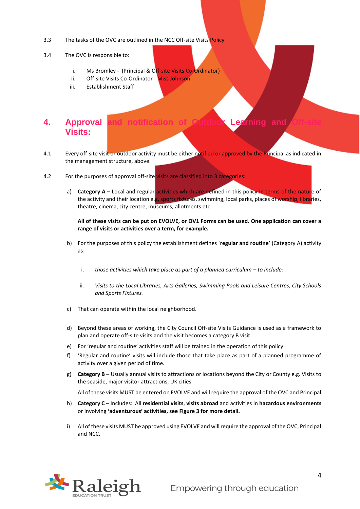- 3.3 The tasks of the OVC are outlined in the NCC Off-site Visits Policy
- 3.4 The OVC is responsible to:
	- i. Ms Bromley (Principal & Off-site Visits Co-Ordinator)
	- ii. Off-site Visits Co-Ordinator Miss Johnson
	- iii. Establishment Staff

# <span id="page-3-0"></span>**4.** Approval **Visits:**

- 4.1 Every off-site visit or outdoor activity must be either notified or approved by the Principal as indicated in the management structure, above.
- 4.2 For the purposes of approval off-site visits are classified into 3 categories:
	- a) **Category A** Local and regular activities which are defined in this policy in terms of the nature of the activity and their location e.g. sports fixtures, swimming, local parks, places of worship, libraries, theatre, cinema, city centre, museums, allotments etc.

**All of these visits can be put on EVOLVE, or OV1 Forms can be used. One application can cover a range of visits or activities over a term, for example.** 

- b) For the purposes of this policy the establishment defines '**regular and routine'** (Category A) activity as:
	- i. those activities which take place as part of a planned curriculum to include:
	- ii. *Visits to the Local Libraries, Arts Galleries, Swimming Pools and Leisure Centres, City Schools and Sports Fixtures.*
- c) That can operate within the local neighborhood.
- d) Beyond these areas of working, the City Council Off-site Visits Guidance is used as a framework to plan and operate off-site visits and the visit becomes a category B visit.
- e) For 'regular and routine' activities staff will be trained in the operation of this policy.
- f) 'Regular and routine' visits will include those that take place as part of a planned programme of activity over a given period of time.
- g) **Category B**  Usually annual visits to attractions or locations beyond the City or County e.g. Visits to the seaside, major visitor attractions, UK cities.

All of these visits MUST be entered on EVOLVE and will require the approval of the OVC and Principal

- h) **Category C**  Includes: All **residential visits**, **visits abroad** and activities in **hazardous environments** or involving **'adventurous' activities, see Figure 3 for more detail.**
- i) All of these visits MUST be approved using EVOLVE and will require the approval of the OVC, Principal and NCC.

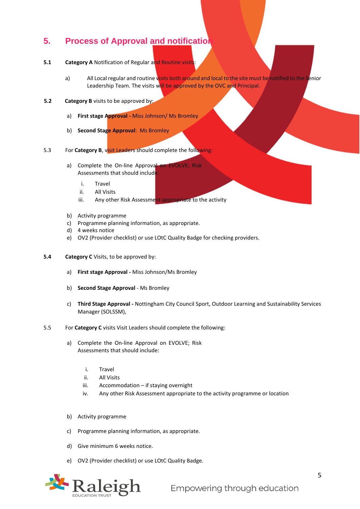## <span id="page-4-0"></span>**5.** Process of Approval and notification

- **5.1 Category A** Notification of Regular and Routine visits:
	- a) All Local regular and routine visits both around and local to the site must be notified to the Senior Leadership Team. The visits will be approved by the OVC and Principal.
- **5.2 Category B** visits to be approved by:
	- a) **First stage Approval -** Miss Johnson/ Ms Bromley
	- b) **Second Stage Approval**: Ms Bromley
- 5.3 For **Category B**, visit Leaders should complete the following:
	- a) Complete the On-line Approval on EVOLVE; Risk Assessments that should include:
		- i. Travel
		- ii. All Visits
		- iii. Any other Risk Assessment appropriate to the activity
	- b) Activity programme
	- c) Programme planning information, as appropriate.
	- d) 4 weeks notice
	- e) OV2 (Provider checklist) or use LOtC Quality Badge for checking providers.
- **5.4 Category C** Visits, to be approved by:
	- a) **First stage Approval -** Miss Johnson/Ms Bromley
	- b) **Second Stage Approval** Ms Bromley
	- c) **Third Stage Approval -** Nottingham City Council Sport, Outdoor Learning and Sustainability Services Manager (SOLSSM),
- 5.5 For **Category C** visits Visit Leaders should complete the following:
	- a) Complete the On-line Approval on EVOLVE; Risk Assessments that should include:
		- i. Travel
		- ii. All Visits
		- iii. Accommodation if staying overnight
		- iv. Any other Risk Assessment appropriate to the activity programme or location
	- b) Activity programme
	- c) Programme planning information, as appropriate.
	- d) Give minimum 6 weeks notice.
	- e) OV2 (Provider checklist) or use LOtC Quality Badge.

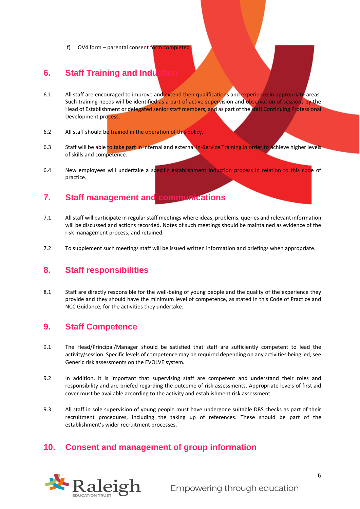f) OV4 form – parental consent form completed

## <span id="page-5-0"></span>**6. Staff Training and Induction**

- 6.1 All staff are encouraged to improve and extend their qualifications and experience in appropriate areas. Such training needs will be identified as a part of active supervision and observation of sessions by the Head of Establishment or delegated senior staff members, and as part of the staff Continuing Professional Development process.
- 6.2 All staff should be trained in the operation of this policy.
- 6.3 Staff will be able to take part in internal and external In-Service Training in order to achieve higher levels of skills and competence.
- 6.4 New employees will undertake a specific establishment induction process in relation to this code of practice.

## <span id="page-5-1"></span>**7. Staff management and communications**

- 7.1 All staff will participate in regular staff meetings where ideas, problems, queries and relevant information will be discussed and actions recorded. Notes of such meetings should be maintained as evidence of the risk management process, and retained.
- 7.2 To supplement such meetings staff will be issued written information and briefings when appropriate.

## <span id="page-5-2"></span>**8. Staff responsibilities**

8.1 Staff are directly responsible for the well-being of young people and the quality of the experience they provide and they should have the minimum level of competence, as stated in this Code of Practice and NCC Guidance, for the activities they undertake.

#### <span id="page-5-3"></span>**9. Staff Competence**

- 9.1 The Head/Principal/Manager should be satisfied that staff are sufficiently competent to lead the activity/session. Specific levels of competence may be required depending on any activities being led, see Generic risk assessments on the EVOLVE system**.**
- 9.2 In addition, it is important that supervising staff are competent and understand their roles and responsibility and are briefed regarding the outcome of risk assessments. Appropriate levels of first aid cover must be available according to the activity and establishment risk assessment.
- 9.3 All staff in sole supervision of young people must have undergone suitable DBS checks as part of their recruitment procedures, including the taking up of references. These should be part of the establishment's wider recruitment processes.

#### <span id="page-5-4"></span>**10. Consent and management of group information**

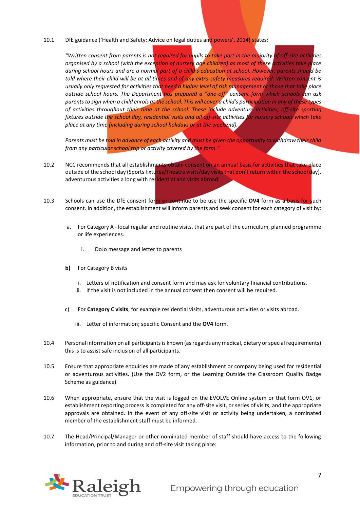10.1 DfE guidance ('Health and Safety: Advice on legal duties and powers', 2014) states:

*"Written consent from parents is not required for pupils to take part in the majority of off-site activities organised by a school (with the exception of nursery age children) as most of these activities take place during school hours and are a normal part of a child's education at school. However, parents should be told where their child will be at all times and of any extra safety measures required. Written consent is usually only requested for activities that need a higher level of risk management or those that take place outside school hours. The Department has prepared a "one-off" consent form which schools can ask parents to sign when a child enrols at the school. This will cover a child's participation in any of these types of activities throughout their time at the school. These include adventure activities, off-site sporting fixtures outside the school day, residential visits and all off-site activities for nursery schools which take place at any time (including during school holidays or at the weekend).* 

*Parents must be told in advance of each activity and must be given the opportunity to withdraw their child from any particular school trip or activity covered by the form."* 

- 10.2 NCC recommends that all establishments obtain consent on an annual basis for activities that take place outside of the school day (Sports fixtures/Theatre visits/day visits that don't return within the school day), adventurous activities a long with residential and visits abroad.
- 10.3 Schools can use the DfE consent form or continue to be use the specific **OV4** form as a basis for such consent. In addition, the establishment will inform parents and seek consent for each category of visit by:
	- a. For Category A local regular and routine visits, that are part of the curriculum, planned programme or life experiences.
		- i. DoJo message and letter to parents
	- **b)** For Category B visits
		- i. Letters of notification and consent form and may ask for voluntary financial contributions.
		- ii. If the visit is not included in the annual consent then consent will be required.
	- c) For **Category C visits**, for example residential visits, adventurous activities or visits abroad.
		- iii. Letter of information; specific Consent and the **OV4** form.
- 10.4 Personal information on all participants is known (as regards any medical, dietary or special requirements) this is to assist safe inclusion of all participants.
- 10.5 Ensure that appropriate enquiries are made of any establishment or company being used for residential or adventurous activities. (Use the OV2 form, or the Learning Outside the Classroom Quality Badge Scheme as guidance)
- 10.6 When appropriate, ensure that the visit is logged on the EVOLVE Online system or that form OV1, or establishment reporting process is completed for any off-site visit, or series of visits, and the appropriate approvals are obtained. In the event of any off-site visit or activity being undertaken, a nominated member of the establishment staff must be informed.
- 10.7 The Head/Principal/Manager or other nominated member of staff should have access to the following information, prior to and during and off-site visit taking place:

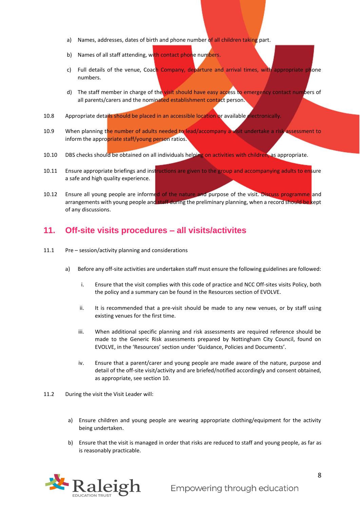- a) Names, addresses, dates of birth and phone number of all children taking part.
- b) Names of all staff attending, with contact phone numbers.
- c) Full details of the venue, Coach Company, departure and arrival times, with appropriate phone numbers.
- d) The staff member in charge of the visit should have easy access to emergency contact numbers of all parents/carers and the nominated establishment contact person.
- 10.8 Appropriate details should be placed in an accessible location or available electronically.
- 10.9 When planning the number of adults needed to lead/accompany a visit undertake a risk assessment to inform the appropriate staff/young person ratios.
- 10.10 DBS checks should be obtained on all individuals helping on activities with children, as appropriate.
- 10.11 Ensure appropriate briefings and instructions are given to the group and accompanying adults to ensure a safe and high quality experience.
- 10.12 Ensure all young people are informed of the nature and purpose of the visit. Discuss programme and arrangements with young people and staff during the preliminary planning, when a record should be kept of any discussions.

#### <span id="page-7-0"></span>**11. Off-site visits procedures – all visits/activites**

- 11.1 Pre session/activity planning and considerations
	- a) Before any off-site activities are undertaken staff must ensure the following guidelines are followed:
		- i. Ensure that the visit complies with this code of practice and NCC Off-sites visits Policy, both the policy and a summary can be found in the Resources section of EVOLVE.
		- ii. It is recommended that a pre-visit should be made to any new venues, or by staff using existing venues for the first time.
		- iii. When additional specific planning and risk assessments are required reference should be made to the Generic Risk assessments prepared by Nottingham City Council, found on EVOLVE, in the 'Resources' section under 'Guidance, Policies and Documents'.
		- iv. Ensure that a parent/carer and young people are made aware of the nature, purpose and detail of the off-site visit/activity and are briefed/notified accordingly and consent obtained, as appropriate, see section 10.
- 11.2 During the visit the Visit Leader will:
	- a) Ensure children and young people are wearing appropriate clothing/equipment for the activity being undertaken.
	- b) Ensure that the visit is managed in order that risks are reduced to staff and young people, as far as is reasonably practicable.

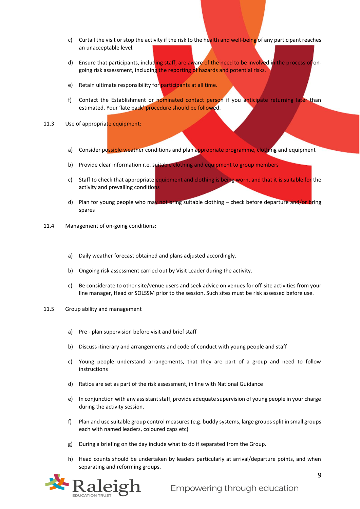- c) Curtail the visit or stop the activity if the risk to the health and well-being of any participant reaches an unacceptable level.
- d) Ensure that participants, including staff, are aware of the need to be involved in the process of ongoing risk assessment, including the reporting of hazards and potential risks.
- e) Retain ultimate responsibility for participants at all time.
- f) Contact the Establishment or nominated contact person if you anticipate returning later than estimated. Your 'late back' procedure should be followed.
- 11.3 Use of appropriate equipment:
	- a) Consider possible weather conditions and plan appropriate programme, clothing and equipment
	- b) Provide clear information r.e. suitable clothing and equipment to group members
	- c) Staff to check that appropriate equipment and clothing is being worn, and that it is suitable for the activity and prevailing conditions
	- d) Plan for young people who may not bring suitable clothing check before departure and/or bring spares
- 11.4 Management of on-going conditions:
	- a) Daily weather forecast obtained and plans adjusted accordingly.
	- b) Ongoing risk assessment carried out by Visit Leader during the activity.
	- c) Be considerate to other site/venue users and seek advice on venues for off-site activities from your line manager, Head or SOLSSM prior to the session. Such sites must be risk assessed before use.
- 11.5 Group ability and management
	- a) Pre plan supervision before visit and brief staff
	- b) Discuss itinerary and arrangements and code of conduct with young people and staff
	- c) Young people understand arrangements, that they are part of a group and need to follow instructions
	- d) Ratios are set as part of the risk assessment, in line with National Guidance
	- e) In conjunction with any assistant staff, provide adequate supervision of young people in your charge during the activity session.
	- f) Plan and use suitable group control measures (e.g. buddy systems, large groups split in small groups each with named leaders, coloured caps etc)
	- g) During a briefing on the day include what to do if separated from the Group.
	- h) Head counts should be undertaken by leaders particularly at arrival/departure points, and when separating and reforming groups.

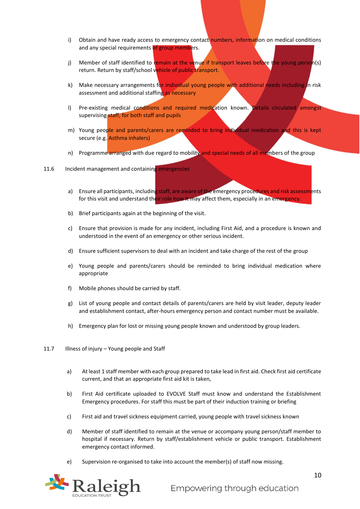- i) Obtain and have ready access to emergency contact numbers, information on medical conditions and any special requirements of group members.
- j) Member of staff identified to remain at the venue if transport leaves before the young person(s) return. Return by staff/school vehicle of public transport.
- k) Make necessary arrangements for individual young people with additional needs including in risk assessment and additional staffing as necessary
- l) Pre-existing medical conditions and required medication known. Details circulated amongst supervising staff, for both staff and pupils
- m) Young people and parents/carers are reminded to bring individual medication and this is kept secure (e.g. Asthma inhalers)
- n) Programme arranged with due regard to mobility and special needs of all members of the group

#### 11.6 Incident management and containing emergencies

- a) Ensure all participants, including staff, are aware of the emergency procedures and risk assessments for this visit and understand their role how it may affect them, especially in an emergency.
- b) Brief participants again at the beginning of the visit.
- c) Ensure that provision is made for any incident, including First Aid, and a procedure is known and understood in the event of an emergency or other serious incident.
- d) Ensure sufficient supervisors to deal with an incident and take charge of the rest of the group
- e) Young people and parents/carers should be reminded to bring individual medication where appropriate
- f) Mobile phones should be carried by staff.
- g) List of young people and contact details of parents/carers are held by visit leader, deputy leader and establishment contact, after-hours emergency person and contact number must be available.
- h) Emergency plan for lost or missing young people known and understood by group leaders.
- 11.7 Illness of injury Young people and Staff
	- a) At least 1 staff member with each group prepared to take lead in first aid. Check first aid certificate current, and that an appropriate first aid kit is taken,
	- b) First Aid certificate uploaded to EVOLVE Staff must know and understand the Establishment Emergency procedures. For staff this must be part of their induction training or briefing
	- c) First aid and travel sickness equipment carried, young people with travel sickness known
	- d) Member of staff identified to remain at the venue or accompany young person/staff member to hospital if necessary. Return by staff/establishment vehicle or public transport. Establishment emergency contact informed.
	- e) Supervision re-organised to take into account the member(s) of staff now missing.

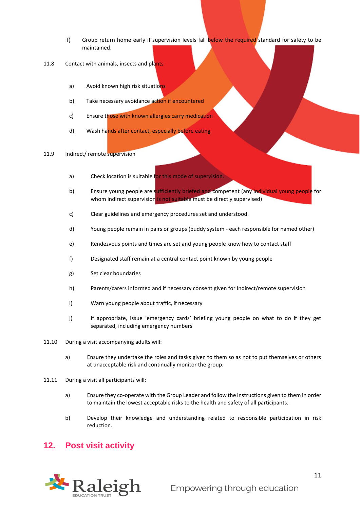- f) Group return home early if supervision levels fall below the required standard for safety to be maintained.
- 11.8 Contact with animals, insects and plants
	- a) Avoid known high risk situations
	- b) Take necessary avoidance action if encountered
	- c) Ensure those with known allergies carry medication
	- d) Wash hands after contact, especially before eating
- 11.9 Indirect/ remote supervision
	- a) Check location is suitable for this mode of supervision.
	- b) Ensure young people are sufficiently briefed and competent (any individual young people for whom indirect supervision is not suitable must be directly supervised)
	- c) Clear guidelines and emergency procedures set and understood.
	- d) Young people remain in pairs or groups (buddy system each responsible for named other)
	- e) Rendezvous points and times are set and young people know how to contact staff
	- f) Designated staff remain at a central contact point known by young people
	- g) Set clear boundaries
	- h) Parents/carers informed and if necessary consent given for Indirect/remote supervision
	- i) Warn young people about traffic, if necessary
	- j) If appropriate, Issue 'emergency cards' briefing young people on what to do if they get separated, including emergency numbers
- 11.10 During a visit accompanying adults will:
	- a) Ensure they undertake the roles and tasks given to them so as not to put themselves or others at unacceptable risk and continually monitor the group.
- 11.11 During a visit all participants will:
	- a) Ensure they co-operate with the Group Leader and follow the instructions given to them in order to maintain the lowest acceptable risks to the health and safety of all participants.
	- b) Develop their knowledge and understanding related to responsible participation in risk reduction.

## <span id="page-10-0"></span>**12. Post visit activity**

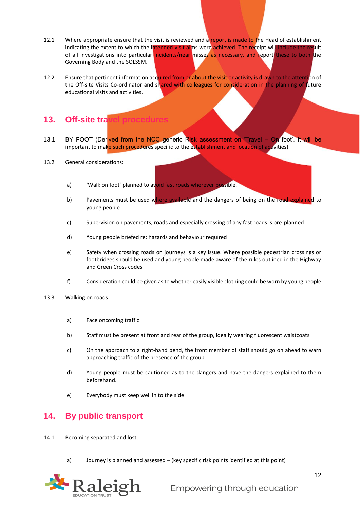- 12.1 Where appropriate ensure that the visit is reviewed and a report is made to the Head of establishment indicating the extent to which the intended visit aims were achieved. The receipt will include the result of all investigations into particular incidents/near misses as necessary, and report these to both the Governing Body and the SOLSSM.
- 12.2 Ensure that pertinent information acquired from or about the visit or activity is drawn to the attention of the Off-site Visits Co-ordinator and shared with colleagues for consideration in the planning of future educational visits and activities.

#### <span id="page-11-0"></span>**13.** Off-site tra

- 13.1 BY FOOT (Derived from the NCC generic Risk assessment on 'Travel On foot'. It will be important to make such procedures specific to the establishment and location of activities)
- 13.2 General considerations:
	- a) 'Walk on foot' planned to avoid fast roads wherever possible.
	- b) Pavements must be used where available and the dangers of being on the road explained to young people
	- c) Supervision on pavements, roads and especially crossing of any fast roads is pre-planned
	- d) Young people briefed re: hazards and behaviour required
	- e) Safety when crossing roads on journeys is a key issue. Where possible pedestrian crossings or footbridges should be used and young people made aware of the rules outlined in the Highway and Green Cross codes
	- f) Consideration could be given as to whether easily visible clothing could be worn by young people
- 13.3 Walking on roads:
	- a) Face oncoming traffic
	- b) Staff must be present at front and rear of the group, ideally wearing fluorescent waistcoats
	- c) On the approach to a right-hand bend, the front member of staff should go on ahead to warn approaching traffic of the presence of the group
	- d) Young people must be cautioned as to the dangers and have the dangers explained to them beforehand.
	- e) Everybody must keep well in to the side

## <span id="page-11-1"></span>**14. By public transport**

- 14.1 Becoming separated and lost:
	- a) Journey is planned and assessed (key specific risk points identified at this point)

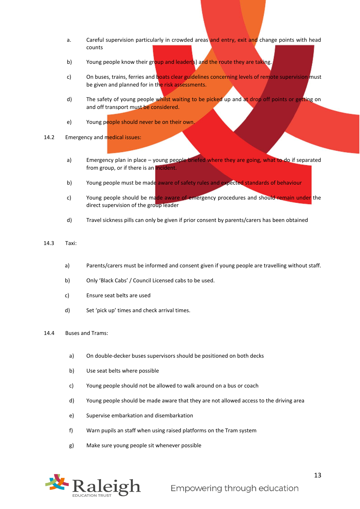- a. Careful supervision particularly in crowded areas and entry, exit and change points with head counts
- b) Young people know their group and leader(s) and the route they are taking.
- c) On buses, trains, ferries and boats clear guidelines concerning levels of remote supervision must be given and planned for in the risk assessments.
- d) The safety of young people whilst waiting to be picked up and at drop off points or getting on and off transport must be considered.
- e) Young people should never be on their own.
- 14.2 Emergency and medical issues:
	- a) Emergency plan in place young people briefed where they are going, what to do if separated from group, or if there is an incident.
	- b) Young people must be made aware of safety rules and expected standards of behaviour
	- c) Young people should be made aware of emergency procedures and should remain under the direct supervision of the group leader
	- d) Travel sickness pills can only be given if prior consent by parents/carers has been obtained
- 14.3 Taxi:
	- a) Parents/carers must be informed and consent given if young people are travelling without staff.
	- b) Only 'Black Cabs' / Council Licensed cabs to be used.
	- c) Ensure seat belts are used
	- d) Set 'pick up' times and check arrival times.

#### 14.4 Buses and Trams:

- a) On double-decker buses supervisors should be positioned on both decks
- b) Use seat belts where possible
- c) Young people should not be allowed to walk around on a bus or coach
- d) Young people should be made aware that they are not allowed access to the driving area
- e) Supervise embarkation and disembarkation
- f) Warn pupils an staff when using raised platforms on the Tram system
- g) Make sure young people sit whenever possible

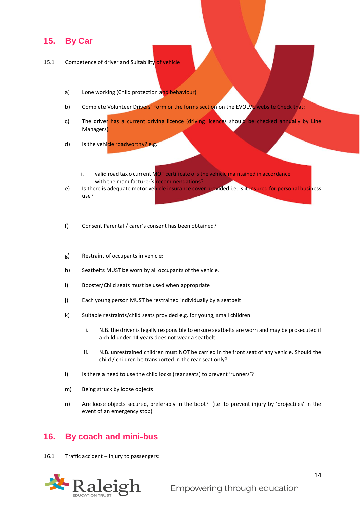#### <span id="page-13-0"></span>**15. By Car**

#### 15.1 Competence of driver and Suitability of vehicle:

- a) Lone working (Child protection and behaviour)
- b) Complete Volunteer Drivers' Form or the forms section on the EVOLVE website Check that:
- c) The driver has a current driving licence (driving licences should be checked annually by Line Managers)
- d) Is the vehicle roadworthy? e.g.
	- i. valid road tax o current MOT certificate o is the vehicle maintained in accordance with the manufacturer's recommendations?
- e) Is there is adequate motor venicle insurance cover provided i.e. is it insured for personal business use?
- f) Consent Parental / carer's consent has been obtained?
- g) Restraint of occupants in vehicle:
- h) Seatbelts MUST be worn by all occupants of the vehicle.
- i) Booster/Child seats must be used when appropriate
- j) Each young person MUST be restrained individually by a seatbelt
- k) Suitable restraints/child seats provided e.g. for young, small children
	- i. N.B. the driver is legally responsible to ensure seatbelts are worn and may be prosecuted if a child under 14 years does not wear a seatbelt
	- ii. N.B. unrestrained children must NOT be carried in the front seat of any vehicle. Should the child / children be transported in the rear seat only?
- I) Is there a need to use the child locks (rear seats) to prevent 'runners'?
- m) Being struck by loose objects
- n) Are loose objects secured, preferably in the boot? (i.e. to prevent injury by 'projectiles' in the event of an emergency stop)

#### <span id="page-13-1"></span>**16. By coach and mini-bus**

16.1 Traffic accident – Injury to passengers:

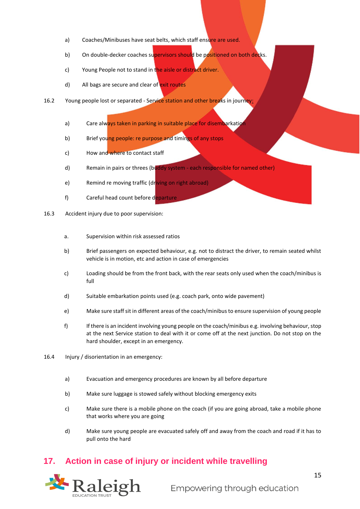- a) Coaches/Minibuses have seat belts, which staff ensure are used.
- b) On double-decker coaches supervisors should be positioned on both decks.
- c) Young People not to stand in the aisle or distract driver.
- d) All bags are secure and clear of exit routes
- 16.2 Young people lost or separated Service station and other breaks in journey:
	- a) Care always taken in parking in suitable place for disembarkation
	- b) Brief young people: re purpose and timings of any stops
	- c) How and where to contact staff
	- d) Remain in pairs or threes (buddy system each responsible for named other)
	- e) Remind re moving traffic (driving on right abroad)
	- f) Careful head count before departure
- 16.3 Accident injury due to poor supervision:
	- a. Supervision within risk assessed ratios
	- b) Brief passengers on expected behaviour, e.g. not to distract the driver, to remain seated whilst vehicle is in motion, etc and action in case of emergencies
	- c) Loading should be from the front back, with the rear seats only used when the coach/minibus is full
	- d) Suitable embarkation points used (e.g. coach park, onto wide pavement)
	- e) Make sure staff sit in different areas of the coach/minibus to ensure supervision of young people
	- f) If there is an incident involving young people on the coach/minibus e.g. involving behaviour, stop at the next Service station to deal with it or come off at the next junction. Do not stop on the hard shoulder, except in an emergency.
- 16.4 Injury / disorientation in an emergency:
	- a) Evacuation and emergency procedures are known by all before departure
	- b) Make sure luggage is stowed safely without blocking emergency exits
	- c) Make sure there is a mobile phone on the coach (if you are going abroad, take a mobile phone that works where you are going
	- d) Make sure young people are evacuated safely off and away from the coach and road if it has to pull onto the hard

## <span id="page-14-0"></span>**17. Action in case of injury or incident while travelling**

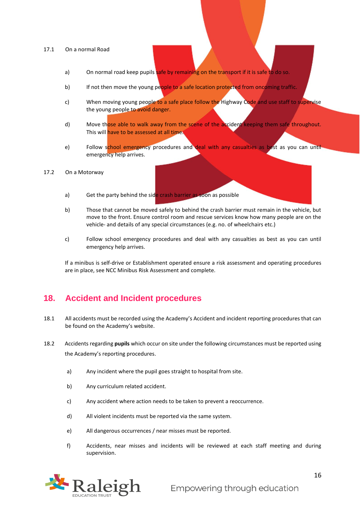#### 17.1 On a normal Road

- a) On normal road keep pupils safe by remaining on the transport if it is safe to do so.
- b) If not then move the young people to a safe location protected from oncoming traffic.
- c) When moving young people to a safe place follow the Highway Code and use staff to supervise the young people to avoid danger.
- d) Move those able to walk away from the scene of the accident keeping them safe throughout. This will have to be assessed at all time.
- e) Follow school emergency procedures and deal with any casualties as best as you can until emergency help arrives.

#### 17.2 On a Motorway

- a) Get the party behind the side crash barrier as soon as possible
- b) Those that cannot be moved safely to behind the crash barrier must remain in the vehicle, but move to the front. Ensure control room and rescue services know how many people are on the vehicle- and details of any special circumstances (e.g. no. of wheelchairs etc.)
- c) Follow school emergency procedures and deal with any casualties as best as you can until emergency help arrives.

If a minibus is self-drive or Establishment operated ensure a risk assessment and operating procedures are in place, see NCC Minibus Risk Assessment and complete.

#### <span id="page-15-0"></span>**18. Accident and Incident procedures**

- 18.1 All accidents must be recorded using the Academy's Accident and incident reporting procedures that can be found on the Academy's website.
- 18.2 Accidents regarding **pupils** which occur on site under the following circumstances must be reported using the Academy's reporting procedures[.](http://gossweb.nottinghamcity.gov.uk/nccextranet/index.aspx?articleid=11286) 
	- a) Any incident where the pupil goes straight to hospital from site.
	- b) Any curriculum related accident.
	- c) Any accident where action needs to be taken to prevent a reoccurrence.
	- d) All violent incidents must be reported via the same system.
	- e) All dangerous occurrences / near misses must be reported.
	- f) Accidents, near misses and incidents will be reviewed at each staff meeting and during supervision.

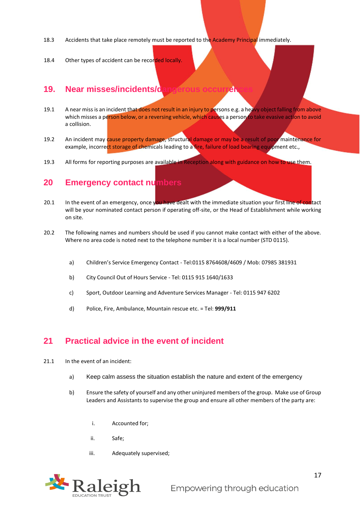- 18.3 Accidents that take place remotely must be reported to the Academy Principal immediately.
- 18.4 Other types of accident can be recorded locally.

#### <span id="page-16-0"></span>**19. Near misses/incidents/dangerous occurrent**

- 19.1 A near miss is an incident that does not result in an injury to persons e.g. a heavy object falling from above which misses a person below, or a reversing vehicle, which causes a person to take evasive action to avoid a collision.
- 19.2 An incident may cause property damage, structural damage or may be a result of poor maintenance for example, incorrect storage of chemicals leading to a fire, failure of load bearing equipment etc.,
- 19.3 All forms for reporting purposes are available in Reception along with guidance on how to use them.

#### <span id="page-16-1"></span>**20 Emergency contact numbers**

- 20.1 In the event of an emergency, once you have dealt with the immediate situation your first line of contact will be your nominated contact person if operating off-site, or the Head of Establishment while working on site.
- 20.2 The following names and numbers should be used if you cannot make contact with either of the above. Where no area code is noted next to the telephone number it is a local number (STD 0115).
	- a) Children's Service Emergency Contact Tel:0115 8764608/4609 / Mob: 07985 381931
	- b) City Council Out of Hours Service Tel: 0115 915 1640/1633
	- c) Sport, Outdoor Learning and Adventure Services Manager Tel: 0115 947 6202
	- d) Police, Fire, Ambulance, Mountain rescue etc. = Tel: **999/911**

#### <span id="page-16-2"></span>**21 Practical advice in the event of incident**

- 21.1 In the event of an incident:
	- a) Keep calm assess the situation establish the nature and extent of the emergency
	- b) Ensure the safety of yourself and any other uninjured members of the group. Make use of Group Leaders and Assistants to supervise the group and ensure all other members of the party are:
		- i. Accounted for;
		- ii. Safe;
		- iii. Adequately supervised;

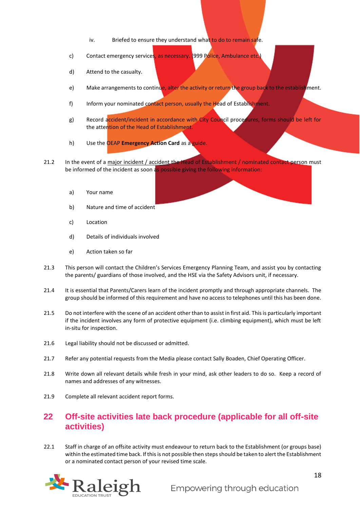- iv. Briefed to ensure they understand what to do to remain safe.
- c) Contact emergency services, as necessary. (999 Police, Ambulance etc.)
- d) Attend to the casualty.
- e) Make arrangements to continue, alter the activity or return the group back to the establishment.
- f) Inform your nominated contact person, usually the Head of Establishment.
- g) Record accident/incident in accordance with City Council procedures, forms should be left for the attention of the Head of Establishment.
- h) Use the OEAP **Emergency Action Card** as a guide.
- 21.2 In the event of a major incident / accident the Head of Establishment / nominated contact person must be informed of the incident as soon as possible giving the following information:
	- a) Your name
	- b) Nature and time of accident
	- c) Location
	- d) Details of individuals involved
	- e) Action taken so far
- 21.3 This person will contact the Children's Services Emergency Planning Team, and assist you by contacting the parents/ guardians of those involved, and the HSE via the Safety Advisors unit, if necessary.
- 21.4 It is essential that Parents/Carers learn of the incident promptly and through appropriate channels. The group should be informed of this requirement and have no access to telephones until this has been done.
- 21.5 Do not interfere with the scene of an accident other than to assist in first aid. This is particularly important if the incident involves any form of protective equipment (i.e. climbing equipment), which must be left in-situ for inspection.
- 21.6 Legal liability should not be discussed or admitted.
- 21.7 Refer any potential requests from the Media please contact Sally Boaden, Chief Operating Officer.
- 21.8 Write down all relevant details while fresh in your mind, ask other leaders to do so. Keep a record of names and addresses of any witnesses.
- 21.9 Complete all relevant accident report forms.

## <span id="page-17-0"></span>**22 Off-site activities late back procedure (applicable for all off-site activities)**

22.1 Staff in charge of an offsite activity must endeavour to return back to the Establishment (or groups base) within the estimated time back. If this is not possible then steps should be taken to alert the Establishment or a nominated contact person of your revised time scale.

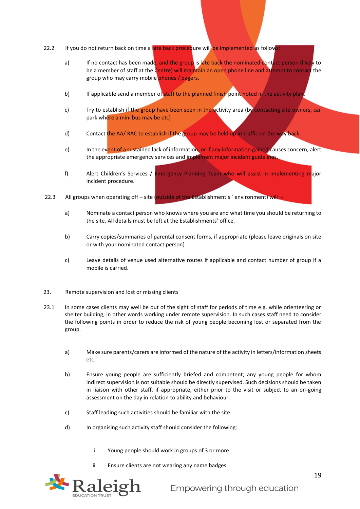- 22.2 If you do not return back on time a late back procedure will be implemented as follows:
	- a) If no contact has been made, and the group is late back the nominated contact person (likely to be a member of staff at the Centre) will maintain an open phone line and attempt to contact the group who may carry mobile phones / pagers.
	- b) If applicable send a member of staff to the planned finish point noted in the activity plan.
	- c) Try to establish if the group have been seen in the activity area (by contacting site owners, car park where a mini bus may be etc)
	- d) Contact the AA/ RAC to establish if the group may be held up in traffic on the way back.
	- e) In the event of a sustained lack of information, or if any information gained causes concern, alert the appropriate emergency services and implement major incident guidelines.
	- f) Alert Children's Services / Emergency Planning Team who will assist in implementing major incident procedure.
- 22.3 All groups when operating off site (outside of the Establishment's ' environment) will :
	- a) Nominate a contact person who knows where you are and what time you should be returning to the site. All details must be left at the Establishments' office.
	- b) Carry copies/summaries of parental consent forms, if appropriate (please leave originals on site or with your nominated contact person)
	- c) Leave details of venue used alternative routes if applicable and contact number of group if a mobile is carried.
- 23. Remote supervision and lost or missing clients
- 23.1 In some cases clients may well be out of the sight of staff for periods of time e.g. while orienteering or shelter building, in other words working under remote supervision. In such cases staff need to consider the following points in order to reduce the risk of young people becoming lost or separated from the group.
	- a) Make sure parents/carers are informed of the nature of the activity in letters/information sheets etc.
	- b) Ensure young people are sufficiently briefed and competent; any young people for whom indirect supervision is not suitable should be directly supervised. Such decisions should be taken in liaison with other staff, if appropriate, either prior to the visit or subject to an on-going assessment on the day in relation to ability and behaviour.
	- c) Staff leading such activities should be familiar with the site.
	- d) In organising such activity staff should consider the following:
		- i. Young people should work in groups of 3 or more
		- ii. Ensure clients are not wearing any name badges

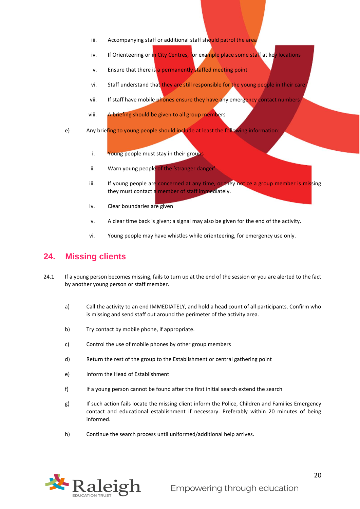- iii. Accompanying staff or additional staff should patrol the area
- iv. If Orienteering or in City Centres, for example place some staff at key locations
- v. Ensure that there is a permanently staffed meeting point
- vi. Staff understand that they are still responsible for the young people in their care
- vii. If staff have mobile phones ensure they have any emergency contact numbers
- viii. A briefing should be given to all group members
- e) Any briefing to young people should include at least the following information:
	- i. Young people must stay in their groups
	- ii. Warn young people of the 'stranger danger'
	- iii. If young people are concerned at any time, or they notice a group member is missing they must contact a member of staff immediately.
	- iv. Clear boundaries are given
	- v. A clear time back is given; a signal may also be given for the end of the activity.
	- vi. Young people may have whistles while orienteering, for emergency use only.

#### <span id="page-19-0"></span>**24. Missing clients**

- 24.1 If a young person becomes missing, fails to turn up at the end of the session or you are alerted to the fact by another young person or staff member.
	- a) Call the activity to an end IMMEDIATELY, and hold a head count of all participants. Confirm who is missing and send staff out around the perimeter of the activity area.
	- b) Try contact by mobile phone, if appropriate.
	- c) Control the use of mobile phones by other group members
	- d) Return the rest of the group to the Establishment or central gathering point
	- e) Inform the Head of Establishment
	- f) If a young person cannot be found after the first initial search extend the search
	- g) If such action fails locate the missing client inform the Police, Children and Families Emergency contact and educational establishment if necessary. Preferably within 20 minutes of being informed.
	- h) Continue the search process until uniformed/additional help arrives.

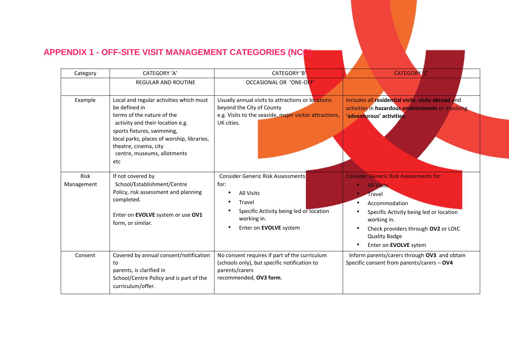# **APPENDIX 1 - OFF-SITE VISIT MANAGEMENT CATEGORIES (NCC)**

<span id="page-20-0"></span>

| Category           | CATEGORY 'A'                                                                                                                                                                                                                                                          | CATEGORY 'B'                                                                                                                                                        | <b>CATEGORY</b> C'                                                                                                                                                                                                                              |
|--------------------|-----------------------------------------------------------------------------------------------------------------------------------------------------------------------------------------------------------------------------------------------------------------------|---------------------------------------------------------------------------------------------------------------------------------------------------------------------|-------------------------------------------------------------------------------------------------------------------------------------------------------------------------------------------------------------------------------------------------|
|                    | REGULAR AND ROUTINE                                                                                                                                                                                                                                                   | OCCASIONAL OR 'ONE-OFF'                                                                                                                                             |                                                                                                                                                                                                                                                 |
| Example            | Local and regular activities which must<br>be defined in<br>terms of the nature of the<br>activity and their location e.g.<br>sports fixtures, swimming,<br>local parks, places of worship, libraries,<br>theatre, cinema, city<br>centre, museums, allotments<br>etc | Usually annual visits to attractions or locations<br>beyond the City of County<br>e.g. Visits to the seaside, major visitor attractions,<br>UK cities.              | Includes all residential visits, visits abroad and<br>activities in hazardous environments or involving<br>'adventurous' activities.                                                                                                            |
| Risk<br>Management | If not covered by<br>School/Establishment/Centre<br>Policy, risk assessment and planning<br>completed.<br>Enter on EVOLVE system or use OV1<br>form, or similar.                                                                                                      | <b>Consider Generic Risk Assessments</b><br>for:<br><b>All Visits</b><br>Travel<br>Specific Activity being led or location<br>working in.<br>Enter on EVOLVE system | <b>Consider Generic Risk Assessments for:</b><br><b>All Visits</b><br>Travel<br>Accommodation<br>Specific Activity being led or location<br>working in.<br>Check providers through OV2 or LOtC<br><b>Quality Badge</b><br>Enter on EVOLVE sytem |
| Consent            | Covered by annual consent/notification<br>to<br>parents, is clarified in<br>School/Centre Policy and is part of the<br>curriculum/offer.                                                                                                                              | No consent requires if part of the curriculum<br>(schools only), but specific notification to<br>parents/carers<br>recommended, OV3 form.                           | Inform parents/carers through OV3 and obtain<br>Specific consent from parents/carers - OV4                                                                                                                                                      |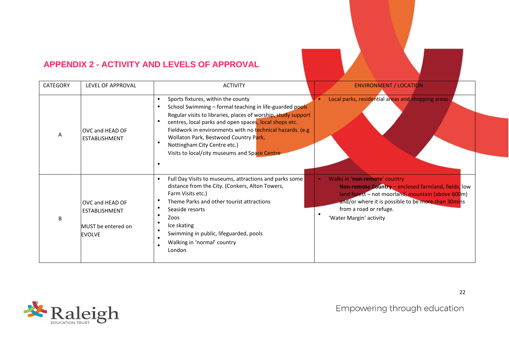# **APPENDIX 2 - ACTIVITY AND LEVELS OF APPROVAL**

| CATEGORY | LEVEL OF APPROVAL                                                       | <b>ACTIVITY</b>                                                                                                                                                                                                                                                                                                                                                                                                 | <b>ENVIRONMENT / LOCATION</b>                                                                                                                                                                                                                        |
|----------|-------------------------------------------------------------------------|-----------------------------------------------------------------------------------------------------------------------------------------------------------------------------------------------------------------------------------------------------------------------------------------------------------------------------------------------------------------------------------------------------------------|------------------------------------------------------------------------------------------------------------------------------------------------------------------------------------------------------------------------------------------------------|
| A        | OVC and HEAD OF<br><b>ESTABLISHMENT</b>                                 | Sports fixtures, within the county<br>School Swimming - formal teaching in life-guarded pools<br>Regular visits to libraries, places of worship, study support<br>centres, local parks and open spaces, local shops etc.<br>Fieldwork in environments with no technical hazards. (e.g<br>Wollaton Park, Bestwood Country Park,<br>Nottingham City Centre etc.)<br>Visits to local/city museums and Space Centre | Local parks, residential areas and shopping areas.                                                                                                                                                                                                   |
|          | OVC and HEAD OF<br>ESTABLISHMENT<br>MUST be entered on<br><b>EVOLVE</b> | Full Day Visits to museums, attractions and parks some<br>distance from the City. (Conkers, Alton Towers,<br>Farm Visits etc.)<br>Theme Parks and other tourist attractions<br>Seaside resorts<br>Zoos<br>Ice skating<br>Swimming in public, lifeguarded, pools<br>Walking in 'normal' country<br>London                                                                                                        | Walks in 'non-remote' country<br>Non-remote Country - enclosed farmland, fields, low<br>land forest - not moorland, mountain (above 600m)<br>and/or where it is possible to be more than 30mins<br>from a road or refuge.<br>'Water Margin' activity |

<span id="page-21-0"></span>

Empowering through education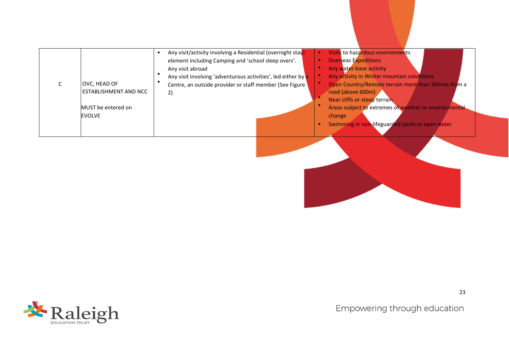| Any visit/activity involving a Residential (overnight stay)   | Visits to hazardous environments                      |
|---------------------------------------------------------------|-------------------------------------------------------|
| element including Camping and 'school sleep overs'.           | <b>Overseas Expeditions</b>                           |
| Any visit abroad                                              | Any water-base activity                               |
| Any visit involving 'adventurous activities', led either by a | Any activity in Winter mountain conditions            |
| OVC, HEAD OF                                                  | Open Country/Remote terrain more than 30mins from a   |
| Centre, an outside provider or staff member (See Figure       | road (above 600m)                                     |
| ESTABLISHMENT AND NCC                                         | Near cliffs or steep terrain                          |
| 2)                                                            | Areas subject to extremes of weather or environmental |
| MUST be entered on                                            | change                                                |
| <b>EVOLVE</b>                                                 | Swimming in non-lifeguarded pools or open water       |



Empowering through education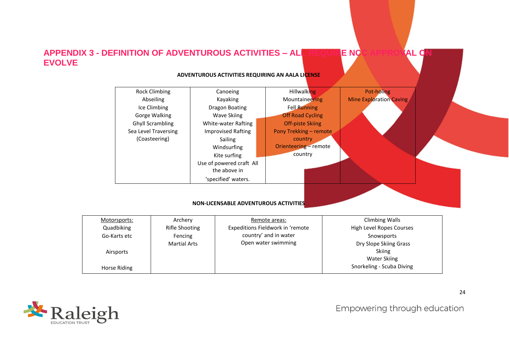# **APPENDIX 3 - DEFINITION OF ADVENTUROUS ACTIVITIES – ALL REQUIRE NCC APPROVAL ON EVOLVE**

#### **ADVENTUROUS ACTIVITIES REQUIRING AN AALA LICENSE**



<span id="page-23-0"></span>

| Motorsports: | Archery             | Remote areas:                    | Climbing Walls            |
|--------------|---------------------|----------------------------------|---------------------------|
| Quadbiking   | Rifle Shooting      | Expeditions Fieldwork in 'remote | High Level Ropes Courses  |
| Go-Karts etc | Fencing             | country' and in water            | Snowsports                |
|              | <b>Martial Arts</b> | Open water swimming              | Dry Slope Skiing Grass    |
| Airsports    |                     |                                  | Skiing                    |
|              |                     |                                  | <b>Water Skiing</b>       |
| Horse Riding |                     |                                  | Snorkeling - Scuba Diving |



Empowering through education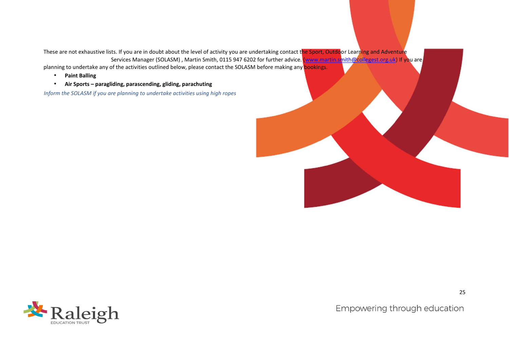These are not exhaustive lists. If you are in doubt about the level of activity you are undertaking contact the Sport, Outdoor Learning and Adventure Services Manager (SOLASM), Martin Smith, 0115 947 6202 for further advice. (www.martin.smith@collegest.org.uk) If you are

planning to undertake any of the activities outlined below, please contact the SOLASM before making any **bookings.** 

- **Paint Balling**
- **Air Sports – paragliding, parascending, gliding, parachuting**

*Inform the SOLASM if you are planning to undertake activities using high ropes*



Empowering through education